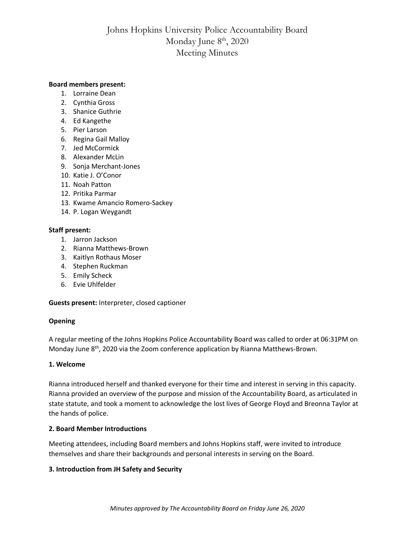#### **Board members present:**

- 1. Lorraine Dean
- 2. Cynthia Gross
- 3. Shanice Guthrie
- 4. Ed Kangethe
- 5. Pier Larson
- 6. Regina Gail Malloy
- 7. Jed McCormick
- 8. Alexander McLin
- 9. Sonja Merchant-Jones
- 10. Katie J. O'Conor
- 11. Noah Patton
- 12. Pritika Parmar
- 13. Kwame Amancio Romero-Sackey
- 14. P. Logan Weygandt

#### **Staff present:**

- 1. Jarron Jackson
- 2. Rianna Matthews-Brown
- 3. Kaitlyn Rothaus Moser
- 4. Stephen Ruckman
- 5. Emily Scheck
- 6. Evie Uhlfelder

**Guests present:** Interpreter, closed captioner

#### **Opening**

A regular meeting of the Johns Hopkins Police Accountability Board was called to order at 06:31PM on Monday June 8<sup>th</sup>, 2020 via the Zoom conference application by Rianna Matthews-Brown.

#### **1. Welcome**

Rianna introduced herself and thanked everyone for their time and interest in serving in this capacity. Rianna provided an overview of the purpose and mission of the Accountability Board, as articulated in state statute, and took a moment to acknowledge the lost lives of George Floyd and Breonna Taylor at the hands of police.

### **2. Board Member Introductions**

Meeting attendees, including Board members and Johns Hopkins staff, were invited to introduce themselves and share their backgrounds and personal interests in serving on the Board.

#### **3. Introduction from JH Safety and Security**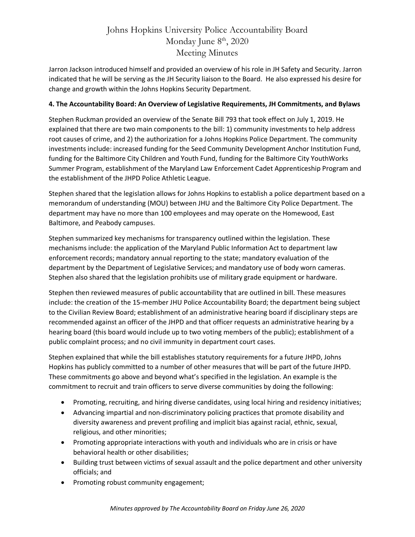Jarron Jackson introduced himself and provided an overview of his role in JH Safety and Security. Jarron indicated that he will be serving as the JH Security liaison to the Board. He also expressed his desire for change and growth within the Johns Hopkins Security Department.

## **4. The Accountability Board: An Overview of Legislative Requirements, JH Commitments, and Bylaws**

Stephen Ruckman provided an overview of the Senate Bill 793 that took effect on July 1, 2019. He explained that there are two main components to the bill: 1) community investments to help address root causes of crime, and 2) the authorization for a Johns Hopkins Police Department. The community investments include: increased funding for the Seed Community Development Anchor Institution Fund, funding for the Baltimore City Children and Youth Fund, funding for the Baltimore City YouthWorks Summer Program, establishment of the Maryland Law Enforcement Cadet Apprenticeship Program and the establishment of the JHPD Police Athletic League.

Stephen shared that the legislation allows for Johns Hopkins to establish a police department based on a memorandum of understanding (MOU) between JHU and the Baltimore City Police Department. The department may have no more than 100 employees and may operate on the Homewood, East Baltimore, and Peabody campuses.

Stephen summarized key mechanisms for transparency outlined within the legislation. These mechanisms include: the application of the Maryland Public Information Act to department law enforcement records; mandatory annual reporting to the state; mandatory evaluation of the department by the Department of Legislative Services; and mandatory use of body worn cameras. Stephen also shared that the legislation prohibits use of military grade equipment or hardware.

Stephen then reviewed measures of public accountability that are outlined in bill. These measures include: the creation of the 15-member JHU Police Accountability Board; the department being subject to the Civilian Review Board; establishment of an administrative hearing board if disciplinary steps are recommended against an officer of the JHPD and that officer requests an administrative hearing by a hearing board (this board would include up to two voting members of the public); establishment of a public complaint process; and no civil immunity in department court cases.

Stephen explained that while the bill establishes statutory requirements for a future JHPD, Johns Hopkins has publicly committed to a number of other measures that will be part of the future JHPD. These commitments go above and beyond what's specified in the legislation. An example is the commitment to recruit and train officers to serve diverse communities by doing the following:

- Promoting, recruiting, and hiring diverse candidates, using local hiring and residency initiatives;
- Advancing impartial and non-discriminatory policing practices that promote disability and diversity awareness and prevent profiling and implicit bias against racial, ethnic, sexual, religious, and other minorities;
- Promoting appropriate interactions with youth and individuals who are in crisis or have behavioral health or other disabilities;
- Building trust between victims of sexual assault and the police department and other university officials; and
- Promoting robust community engagement;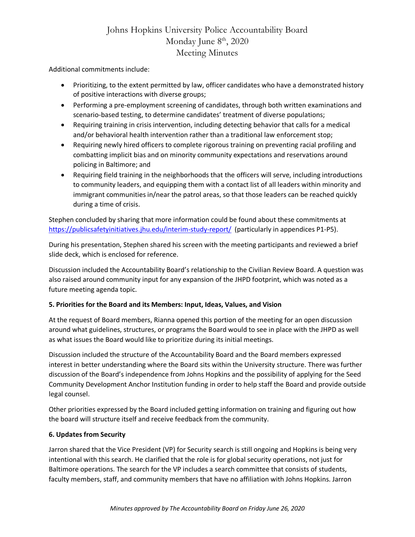Additional commitments include:

- Prioritizing, to the extent permitted by law, officer candidates who have a demonstrated history of positive interactions with diverse groups;
- Performing a pre-employment screening of candidates, through both written examinations and scenario-based testing, to determine candidates' treatment of diverse populations;
- Requiring training in crisis intervention, including detecting behavior that calls for a medical and/or behavioral health intervention rather than a traditional law enforcement stop;
- Requiring newly hired officers to complete rigorous training on preventing racial profiling and combatting implicit bias and on minority community expectations and reservations around policing in Baltimore; and
- Requiring field training in the neighborhoods that the officers will serve, including introductions to community leaders, and equipping them with a contact list of all leaders within minority and immigrant communities in/near the patrol areas, so that those leaders can be reached quickly during a time of crisis.

Stephen concluded by sharing that more information could be found about these commitments at https://publicsafetyinitiatives.jhu.edu/interim-study-report/ (particularly in appendices P1-P5).

During his presentation, Stephen shared his screen with the meeting participants and reviewed a brief slide deck, which is enclosed for reference.

Discussion included the Accountability Board's relationship to the Civilian Review Board. A question was also raised around community input for any expansion of the JHPD footprint, which was noted as a future meeting agenda topic.

## **5. Priorities for the Board and its Members: Input, Ideas, Values, and Vision**

At the request of Board members, Rianna opened this portion of the meeting for an open discussion around what guidelines, structures, or programs the Board would to see in place with the JHPD as well as what issues the Board would like to prioritize during its initial meetings.

Discussion included the structure of the Accountability Board and the Board members expressed interest in better understanding where the Board sits within the University structure. There was further discussion of the Board's independence from Johns Hopkins and the possibility of applying for the Seed Community Development Anchor Institution funding in order to help staff the Board and provide outside legal counsel.

Other priorities expressed by the Board included getting information on training and figuring out how the board will structure itself and receive feedback from the community.

## **6. Updates from Security**

Jarron shared that the Vice President (VP) for Security search is still ongoing and Hopkins is being very intentional with this search. He clarified that the role is for global security operations, not just for Baltimore operations. The search for the VP includes a search committee that consists of students, faculty members, staff, and community members that have no affiliation with Johns Hopkins. Jarron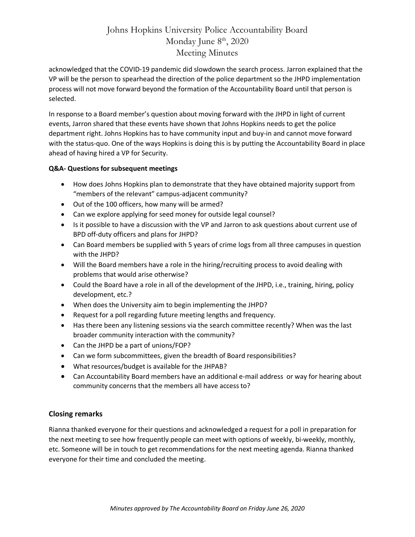acknowledged that the COVID-19 pandemic did slowdown the search process. Jarron explained that the VP will be the person to spearhead the direction of the police department so the JHPD implementation process will not move forward beyond the formation of the Accountability Board until that person is selected.

In response to a Board member's question about moving forward with the JHPD in light of current events, Jarron shared that these events have shown that Johns Hopkins needs to get the police department right. Johns Hopkins has to have community input and buy-in and cannot move forward with the status-quo. One of the ways Hopkins is doing this is by putting the Accountability Board in place ahead of having hired a VP for Security.

## **Q&A- Questions for subsequent meetings**

- How does Johns Hopkins plan to demonstrate that they have obtained majority support from "members of the relevant" campus-adjacent community?
- Out of the 100 officers, how many will be armed?
- Can we explore applying for seed money for outside legal counsel?
- Is it possible to have a discussion with the VP and Jarron to ask questions about current use of BPD off-duty officers and plans for JHPD?
- Can Board members be supplied with 5 years of crime logs from all three campuses in question with the JHPD?
- Will the Board members have a role in the hiring/recruiting process to avoid dealing with problems that would arise otherwise?
- Could the Board have a role in all of the development of the JHPD, i.e., training, hiring, policy development, etc.?
- When does the University aim to begin implementing the JHPD?
- Request for a poll regarding future meeting lengths and frequency.
- Has there been any listening sessions via the search committee recently? When was the last broader community interaction with the community?
- Can the JHPD be a part of unions/FOP?
- Can we form subcommittees, given the breadth of Board responsibilities?
- What resources/budget is available for the JHPAB?
- Can Accountability Board members have an additional e-mail address or way for hearing about community concerns that the members all have access to?

## **Closing remarks**

Rianna thanked everyone for their questions and acknowledged a request for a poll in preparation for the next meeting to see how frequently people can meet with options of weekly, bi-weekly, monthly, etc. Someone will be in touch to get recommendations for the next meeting agenda. Rianna thanked everyone for their time and concluded the meeting.